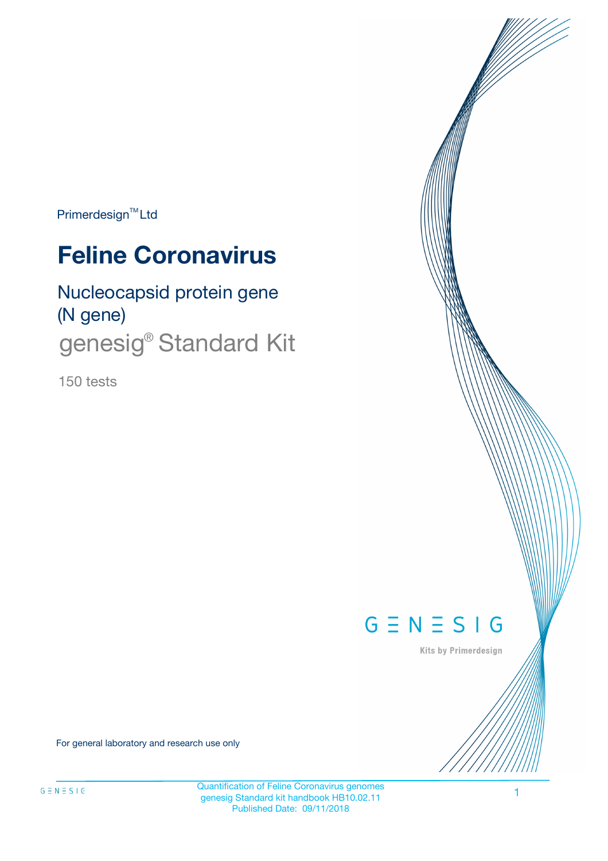Primerdesign<sup>™</sup>Ltd

# **Feline Coronavirus**

Nucleocapsid protein gene (N gene) genesig<sup>®</sup> Standard Kit

150 tests



Kits by Primerdesign

For general laboratory and research use only

Quantification of Feline Coronavirus genomes genesig Standard kit handbook HB10.02.11 Published Date: 09/11/2018

1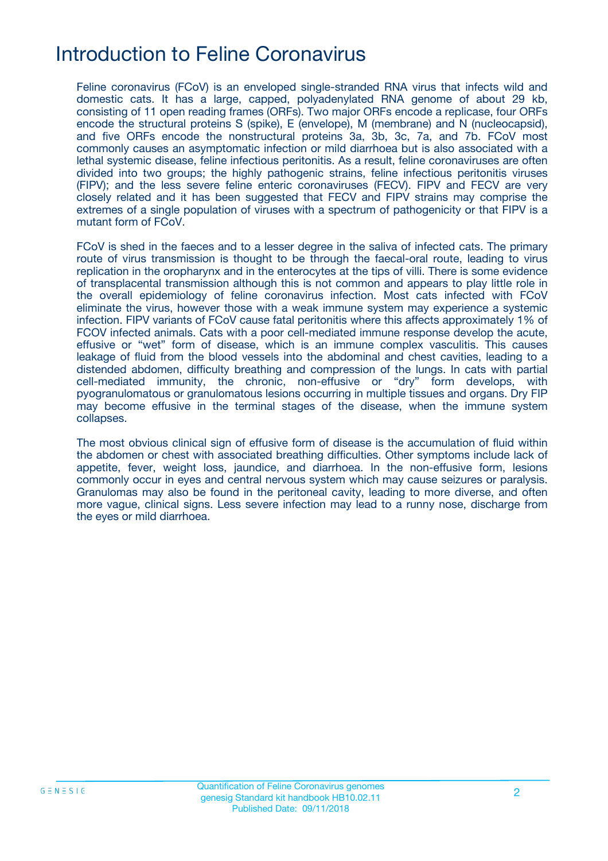# Introduction to Feline Coronavirus

Feline coronavirus (FCoV) is an enveloped single-stranded RNA virus that infects wild and domestic cats. It has a large, capped, polyadenylated RNA genome of about 29 kb, consisting of 11 open reading frames (ORFs). Two major ORFs encode a replicase, four ORFs encode the structural proteins S (spike), E (envelope), M (membrane) and N (nucleocapsid), and five ORFs encode the nonstructural proteins 3a, 3b, 3c, 7a, and 7b. FCoV most commonly causes an asymptomatic infection or mild diarrhoea but is also associated with a lethal systemic disease, feline infectious peritonitis. As a result, feline coronaviruses are often divided into two groups; the highly pathogenic strains, feline infectious peritonitis viruses (FIPV); and the less severe feline enteric coronaviruses (FECV). FIPV and FECV are very closely related and it has been suggested that FECV and FIPV strains may comprise the extremes of a single population of viruses with a spectrum of pathogenicity or that FIPV is a mutant form of FCoV.

FCoV is shed in the faeces and to a lesser degree in the saliva of infected cats. The primary route of virus transmission is thought to be through the faecal-oral route, leading to virus replication in the oropharynx and in the enterocytes at the tips of villi. There is some evidence of transplacental transmission although this is not common and appears to play little role in the overall epidemiology of feline coronavirus infection. Most cats infected with FCoV eliminate the virus, however those with a weak immune system may experience a systemic infection. FIPV variants of FCoV cause fatal peritonitis where this affects approximately 1% of FCOV infected animals. Cats with a poor cell-mediated immune response develop the acute, effusive or "wet" form of disease, which is an immune complex vasculitis. This causes leakage of fluid from the blood vessels into the abdominal and chest cavities, leading to a distended abdomen, difficulty breathing and compression of the lungs. In cats with partial cell-mediated immunity, the chronic, non-effusive or "dry" form develops, with pyogranulomatous or granulomatous lesions occurring in multiple tissues and organs. Dry FIP may become effusive in the terminal stages of the disease, when the immune system collapses.

The most obvious clinical sign of effusive form of disease is the accumulation of fluid within the abdomen or chest with associated breathing difficulties. Other symptoms include lack of appetite, fever, weight loss, jaundice, and diarrhoea. In the non-effusive form, lesions commonly occur in eyes and central nervous system which may cause seizures or paralysis. Granulomas may also be found in the peritoneal cavity, leading to more diverse, and often more vague, clinical signs. Less severe infection may lead to a runny nose, discharge from the eyes or mild diarrhoea.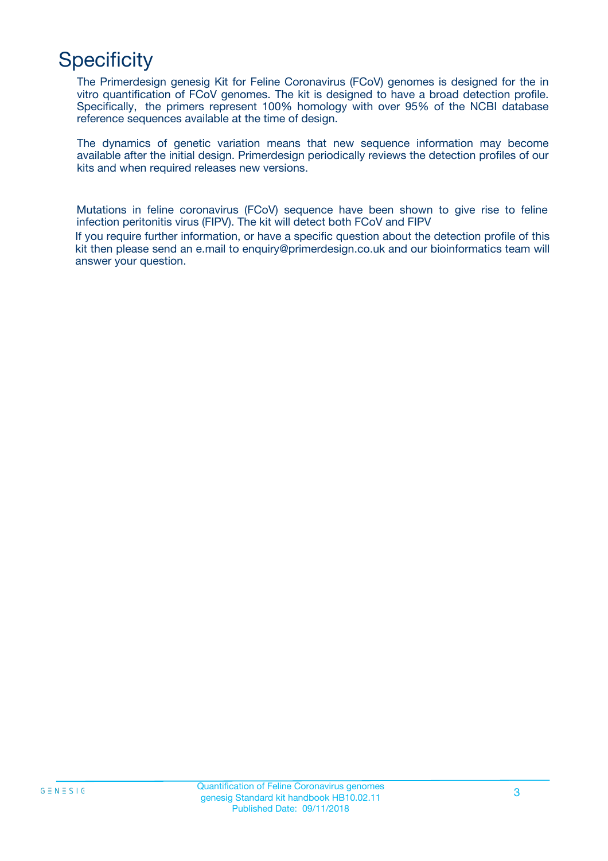# **Specificity**

answer your question.

The Primerdesign genesig Kit for Feline Coronavirus (FCoV) genomes is designed for the in vitro quantification of FCoV genomes. The kit is designed to have a broad detection profile. Specifically, the primers represent 100% homology with over 95% of the NCBI database reference sequences available at the time of design.

The dynamics of genetic variation means that new sequence information may become available after the initial design. Primerdesign periodically reviews the detection profiles of our kits and when required releases new versions.

Mutations in feline coronavirus (FCoV) sequence have been shown to give rise to feline infection peritonitis virus (FIPV). The kit will detect both FCoV and FIPV If you require further information, or have a specific question about the detection profile of this kit then please send an e.mail to enquiry@primerdesign.co.uk and our bioinformatics team will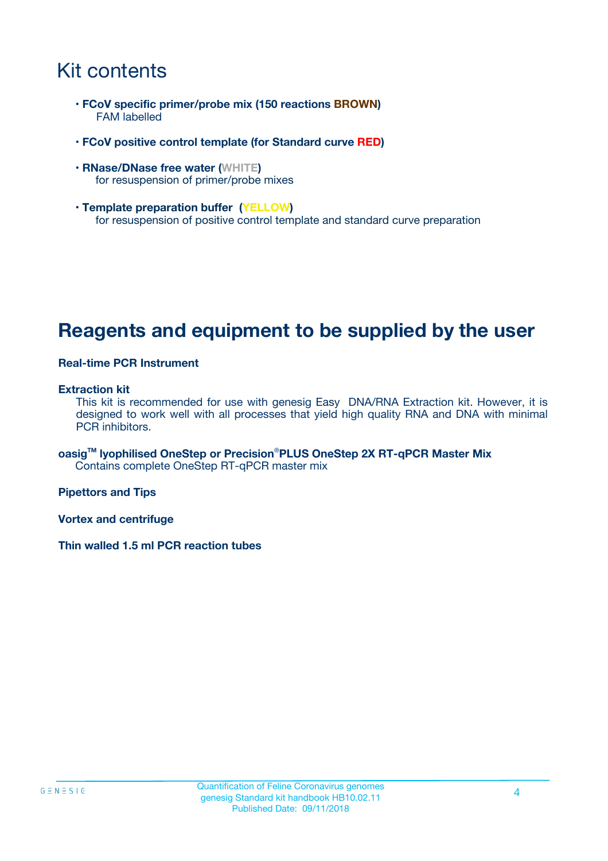# Kit contents

- **FCoV specific primer/probe mix (150 reactions BROWN)** FAM labelled
- **FCoV positive control template (for Standard curve RED)**
- **RNase/DNase free water (WHITE)** for resuspension of primer/probe mixes
- **Template preparation buffer (YELLOW)** for resuspension of positive control template and standard curve preparation

## **Reagents and equipment to be supplied by the user**

#### **Real-time PCR Instrument**

#### **Extraction kit**

This kit is recommended for use with genesig Easy DNA/RNA Extraction kit. However, it is designed to work well with all processes that yield high quality RNA and DNA with minimal PCR inhibitors.

**oasigTM lyophilised OneStep or Precision**®**PLUS OneStep 2X RT-qPCR Master Mix** Contains complete OneStep RT-qPCR master mix

**Pipettors and Tips**

**Vortex and centrifuge**

**Thin walled 1.5 ml PCR reaction tubes**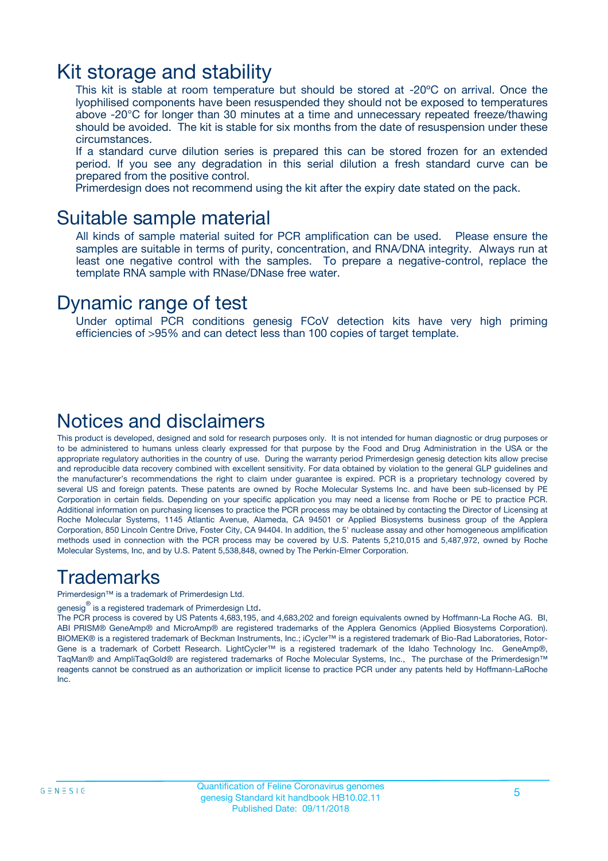### Kit storage and stability

This kit is stable at room temperature but should be stored at -20ºC on arrival. Once the lyophilised components have been resuspended they should not be exposed to temperatures above -20°C for longer than 30 minutes at a time and unnecessary repeated freeze/thawing should be avoided. The kit is stable for six months from the date of resuspension under these circumstances.

If a standard curve dilution series is prepared this can be stored frozen for an extended period. If you see any degradation in this serial dilution a fresh standard curve can be prepared from the positive control.

Primerdesign does not recommend using the kit after the expiry date stated on the pack.

### Suitable sample material

All kinds of sample material suited for PCR amplification can be used. Please ensure the samples are suitable in terms of purity, concentration, and RNA/DNA integrity. Always run at least one negative control with the samples. To prepare a negative-control, replace the template RNA sample with RNase/DNase free water.

### Dynamic range of test

Under optimal PCR conditions genesig FCoV detection kits have very high priming efficiencies of >95% and can detect less than 100 copies of target template.

### Notices and disclaimers

This product is developed, designed and sold for research purposes only. It is not intended for human diagnostic or drug purposes or to be administered to humans unless clearly expressed for that purpose by the Food and Drug Administration in the USA or the appropriate regulatory authorities in the country of use. During the warranty period Primerdesign genesig detection kits allow precise and reproducible data recovery combined with excellent sensitivity. For data obtained by violation to the general GLP guidelines and the manufacturer's recommendations the right to claim under guarantee is expired. PCR is a proprietary technology covered by several US and foreign patents. These patents are owned by Roche Molecular Systems Inc. and have been sub-licensed by PE Corporation in certain fields. Depending on your specific application you may need a license from Roche or PE to practice PCR. Additional information on purchasing licenses to practice the PCR process may be obtained by contacting the Director of Licensing at Roche Molecular Systems, 1145 Atlantic Avenue, Alameda, CA 94501 or Applied Biosystems business group of the Applera Corporation, 850 Lincoln Centre Drive, Foster City, CA 94404. In addition, the 5' nuclease assay and other homogeneous amplification methods used in connection with the PCR process may be covered by U.S. Patents 5,210,015 and 5,487,972, owned by Roche Molecular Systems, Inc, and by U.S. Patent 5,538,848, owned by The Perkin-Elmer Corporation.

### Trademarks

Primerdesign™ is a trademark of Primerdesign Ltd.

genesig $^\circledR$  is a registered trademark of Primerdesign Ltd.

The PCR process is covered by US Patents 4,683,195, and 4,683,202 and foreign equivalents owned by Hoffmann-La Roche AG. BI, ABI PRISM® GeneAmp® and MicroAmp® are registered trademarks of the Applera Genomics (Applied Biosystems Corporation). BIOMEK® is a registered trademark of Beckman Instruments, Inc.; iCycler™ is a registered trademark of Bio-Rad Laboratories, Rotor-Gene is a trademark of Corbett Research. LightCycler™ is a registered trademark of the Idaho Technology Inc. GeneAmp®, TaqMan® and AmpliTaqGold® are registered trademarks of Roche Molecular Systems, Inc., The purchase of the Primerdesign™ reagents cannot be construed as an authorization or implicit license to practice PCR under any patents held by Hoffmann-LaRoche Inc.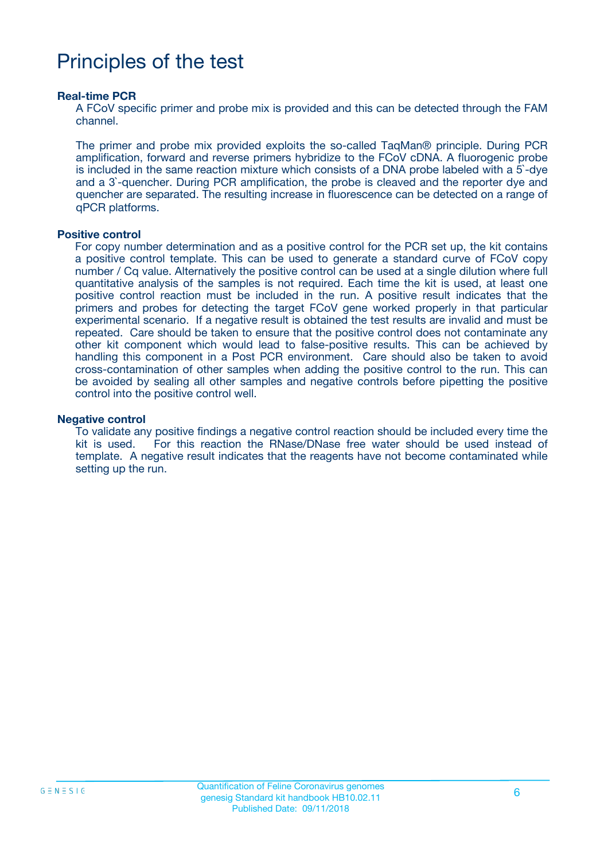# Principles of the test

#### **Real-time PCR**

A FCoV specific primer and probe mix is provided and this can be detected through the FAM channel.

The primer and probe mix provided exploits the so-called TaqMan® principle. During PCR amplification, forward and reverse primers hybridize to the FCoV cDNA. A fluorogenic probe is included in the same reaction mixture which consists of a DNA probe labeled with a 5`-dye and a 3`-quencher. During PCR amplification, the probe is cleaved and the reporter dye and quencher are separated. The resulting increase in fluorescence can be detected on a range of qPCR platforms.

#### **Positive control**

For copy number determination and as a positive control for the PCR set up, the kit contains a positive control template. This can be used to generate a standard curve of FCoV copy number / Cq value. Alternatively the positive control can be used at a single dilution where full quantitative analysis of the samples is not required. Each time the kit is used, at least one positive control reaction must be included in the run. A positive result indicates that the primers and probes for detecting the target FCoV gene worked properly in that particular experimental scenario. If a negative result is obtained the test results are invalid and must be repeated. Care should be taken to ensure that the positive control does not contaminate any other kit component which would lead to false-positive results. This can be achieved by handling this component in a Post PCR environment. Care should also be taken to avoid cross-contamination of other samples when adding the positive control to the run. This can be avoided by sealing all other samples and negative controls before pipetting the positive control into the positive control well.

#### **Negative control**

To validate any positive findings a negative control reaction should be included every time the kit is used. For this reaction the RNase/DNase free water should be used instead of template. A negative result indicates that the reagents have not become contaminated while setting up the run.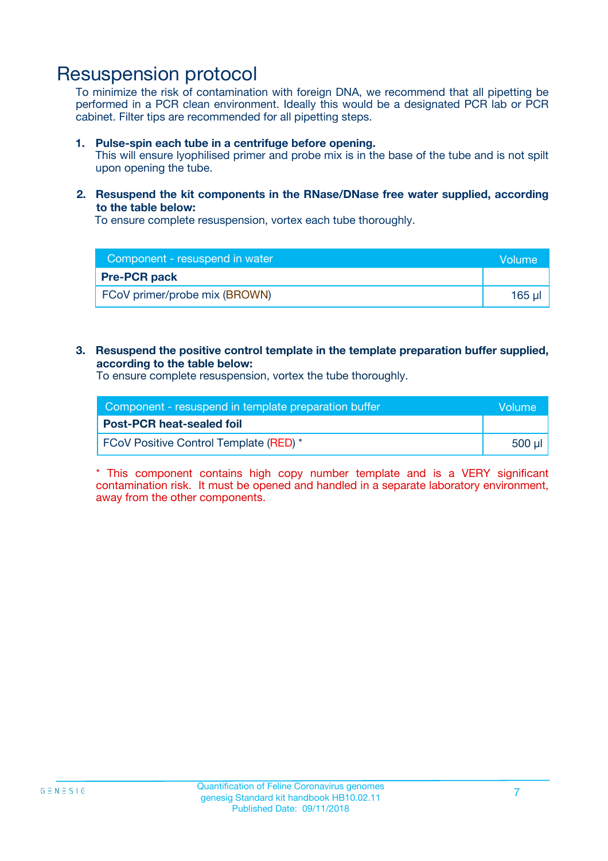### Resuspension protocol

To minimize the risk of contamination with foreign DNA, we recommend that all pipetting be performed in a PCR clean environment. Ideally this would be a designated PCR lab or PCR cabinet. Filter tips are recommended for all pipetting steps.

#### **1. Pulse-spin each tube in a centrifuge before opening.**

This will ensure lyophilised primer and probe mix is in the base of the tube and is not spilt upon opening the tube.

#### **2. Resuspend the kit components in the RNase/DNase free water supplied, according to the table below:**

To ensure complete resuspension, vortex each tube thoroughly.

| Component - resuspend in water | <b>Nolume</b> |
|--------------------------------|---------------|
| <b>Pre-PCR pack</b>            |               |
| FCoV primer/probe mix (BROWN)  | $165$ µ       |

#### **3. Resuspend the positive control template in the template preparation buffer supplied, according to the table below:**

To ensure complete resuspension, vortex the tube thoroughly.

| Component - resuspend in template preparation buffer |        |  |
|------------------------------------------------------|--------|--|
| <b>Post-PCR heat-sealed foil</b>                     |        |  |
| <b>FCoV Positive Control Template (RED)</b> *        | 500 µl |  |

\* This component contains high copy number template and is a VERY significant contamination risk. It must be opened and handled in a separate laboratory environment, away from the other components.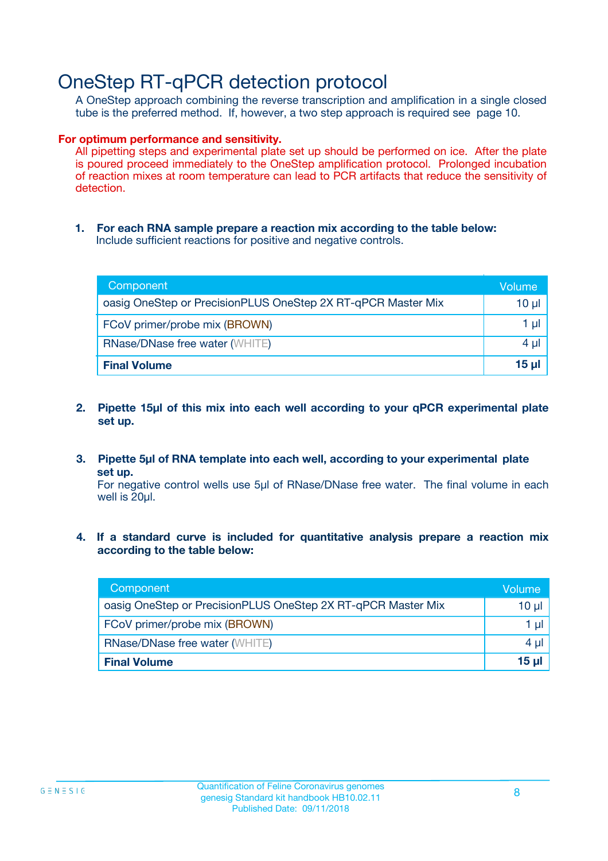## OneStep RT-qPCR detection protocol

A OneStep approach combining the reverse transcription and amplification in a single closed tube is the preferred method. If, however, a two step approach is required see page 10.

#### **For optimum performance and sensitivity.**

All pipetting steps and experimental plate set up should be performed on ice. After the plate is poured proceed immediately to the OneStep amplification protocol. Prolonged incubation of reaction mixes at room temperature can lead to PCR artifacts that reduce the sensitivity of detection.

**1. For each RNA sample prepare a reaction mix according to the table below:** Include sufficient reactions for positive and negative controls.

| Component                                                    | Volume       |
|--------------------------------------------------------------|--------------|
| oasig OneStep or PrecisionPLUS OneStep 2X RT-qPCR Master Mix | 10 µl        |
| FCoV primer/probe mix (BROWN)                                | 1 µI         |
| <b>RNase/DNase free water (WHITE)</b>                        | 4 µl         |
| <b>Final Volume</b>                                          | <u>15 µl</u> |

- **2. Pipette 15µl of this mix into each well according to your qPCR experimental plate set up.**
- **3. Pipette 5µl of RNA template into each well, according to your experimental plate set up.**

For negative control wells use 5µl of RNase/DNase free water. The final volume in each well is 20ul.

**4. If a standard curve is included for quantitative analysis prepare a reaction mix according to the table below:**

| Component                                                    | Volume |
|--------------------------------------------------------------|--------|
| oasig OneStep or PrecisionPLUS OneStep 2X RT-qPCR Master Mix | 10 µl  |
| FCoV primer/probe mix (BROWN)                                | 1 µI   |
| <b>RNase/DNase free water (WHITE)</b>                        | 4 µl   |
| <b>Final Volume</b>                                          | 15 ul  |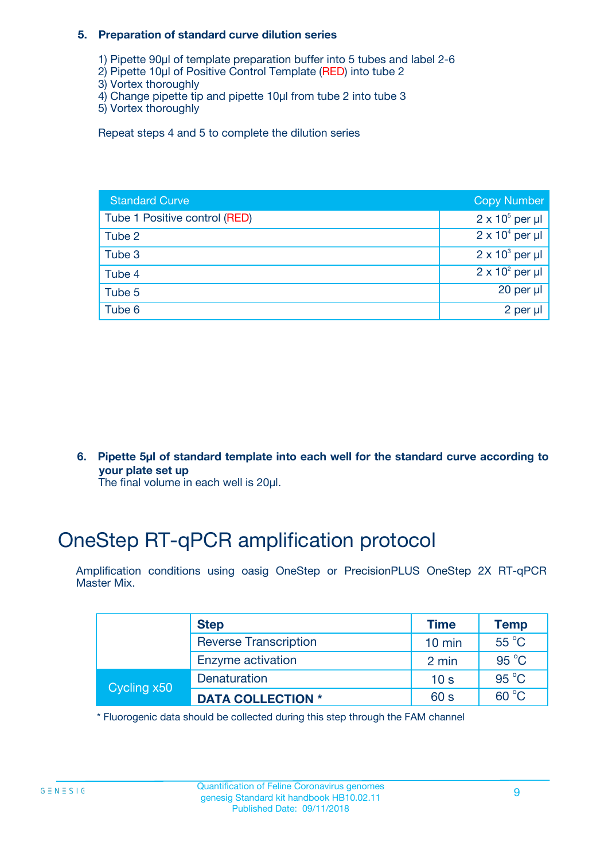#### **5. Preparation of standard curve dilution series**

- 1) Pipette 90µl of template preparation buffer into 5 tubes and label 2-6
- 2) Pipette 10µl of Positive Control Template (RED) into tube 2
- 3) Vortex thoroughly
- 4) Change pipette tip and pipette 10µl from tube 2 into tube 3
- 5) Vortex thoroughly

Repeat steps 4 and 5 to complete the dilution series

| <b>Standard Curve</b>         | <b>Copy Number</b>     |
|-------------------------------|------------------------|
| Tube 1 Positive control (RED) | $2 \times 10^5$ per µl |
| Tube 2                        | $2 \times 10^4$ per µl |
| Tube 3                        | $2 \times 10^3$ per µl |
| Tube 4                        | $2 \times 10^2$ per µl |
| Tube 5                        | 20 per $\mu$           |
| Tube 6                        | 2 per µl               |

**6. Pipette 5µl of standard template into each well for the standard curve according to your plate set up**

The final volume in each well is 20ul.

# OneStep RT-qPCR amplification protocol

Amplification conditions using oasig OneStep or PrecisionPLUS OneStep 2X RT-qPCR Master Mix.

|             | <b>Step</b>                  | <b>Time</b>      | <b>Temp</b>    |
|-------------|------------------------------|------------------|----------------|
|             | <b>Reverse Transcription</b> | $10 \text{ min}$ | $55^{\circ}$ C |
|             | Enzyme activation            | 2 min            | $95^{\circ}$ C |
| Cycling x50 | Denaturation                 | 10 <sub>s</sub>  | $95^{\circ}$ C |
|             | <b>DATA COLLECTION *</b>     | 60 s             | $60^{\circ}$ C |

\* Fluorogenic data should be collected during this step through the FAM channel